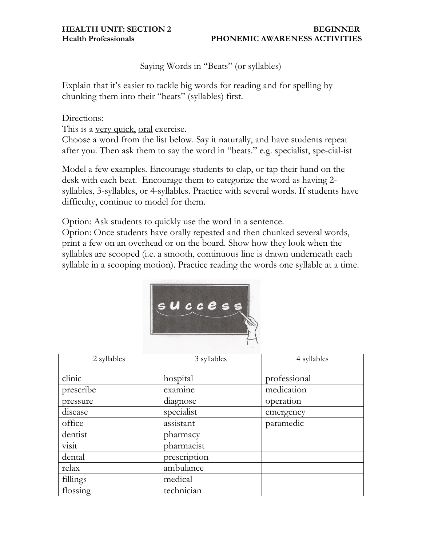**HEALTH UNIT: SECTION 2** BEGINNER **Health Professionals PHONEMIC AWARENESS ACTIVITIES**

Saying Words in "Beats" (or syllables)

Explain that it's easier to tackle big words for reading and for spelling by chunking them into their "beats" (syllables) first.

## Directions:

This is a very quick, oral exercise.

Choose a word from the list below. Say it naturally, and have students repeat after you. Then ask them to say the word in "beats." e.g. specialist, spe-cial-ist

Model a few examples. Encourage students to clap, or tap their hand on the desk with each beat. Encourage them to categorize the word as having 2 syllables, 3-syllables, or 4-syllables. Practice with several words. If students have difficulty, continue to model for them.

Option: Ask students to quickly use the word in a sentence.

Option: Once students have orally repeated and then chunked several words, print a few on an overhead or on the board. Show how they look when the syllables are scooped (i.e. a smooth, continuous line is drawn underneath each syllable in a scooping motion). Practice reading the words one syllable at a time.



| 2 syllables | 3 syllables  | 4 syllables  |
|-------------|--------------|--------------|
| clinic      | hospital     | professional |
|             |              |              |
| prescribe   | examine      | medication   |
| pressure    | diagnose     | operation    |
| disease     | specialist   | emergency    |
| office      | assistant    | paramedic    |
| dentist     | pharmacy     |              |
| visit       | pharmacist   |              |
| dental      | prescription |              |
| relax       | ambulance    |              |
| fillings    | medical      |              |
| flossing    | technician   |              |